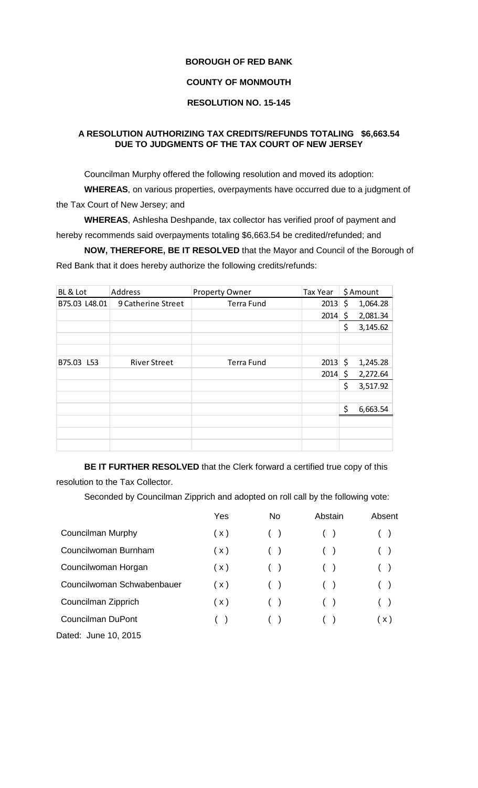## **BOROUGH OF RED BANK**

## **COUNTY OF MONMOUTH**

## **RESOLUTION NO. 15-145**

## **A RESOLUTION AUTHORIZING TAX CREDITS/REFUNDS TOTALING \$6,663.54 DUE TO JUDGMENTS OF THE TAX COURT OF NEW JERSEY**

Councilman Murphy offered the following resolution and moved its adoption:

**WHEREAS**, on various properties, overpayments have occurred due to a judgment of the Tax Court of New Jersey; and

**WHEREAS**, Ashlesha Deshpande, tax collector has verified proof of payment and hereby recommends said overpayments totaling \$6,663.54 be credited/refunded; and

**NOW, THEREFORE, BE IT RESOLVED** that the Mayor and Council of the Borough of Red Bank that it does hereby authorize the following credits/refunds:

| BL & Lot      | Address             | <b>Property Owner</b> | Tax Year     | \$ Amount      |
|---------------|---------------------|-----------------------|--------------|----------------|
| B75.03 L48.01 | 9 Catherine Street  | Terra Fund            | 2013         | \$<br>1,064.28 |
|               |                     |                       | $2014 \,$ \$ | 2,081.34       |
|               |                     |                       |              | \$<br>3,145.62 |
|               |                     |                       |              |                |
|               |                     |                       |              |                |
| B75.03 L53    | <b>River Street</b> | <b>Terra Fund</b>     | $2013 \;$ \$ | 1,245.28       |
|               |                     |                       | $2014 \,$ \$ | 2,272.64       |
|               |                     |                       |              | \$<br>3,517.92 |
|               |                     |                       |              |                |
|               |                     |                       |              | \$<br>6,663.54 |
|               |                     |                       |              |                |
|               |                     |                       |              |                |
|               |                     |                       |              |                |

**BE IT FURTHER RESOLVED** that the Clerk forward a certified true copy of this resolution to the Tax Collector.

Seconded by Councilman Zipprich and adopted on roll call by the following vote:

|                            | Yes | <b>No</b> | Abstain | Absent |
|----------------------------|-----|-----------|---------|--------|
| Councilman Murphy          | (x) |           |         |        |
| Councilwoman Burnham       | (x) |           |         |        |
| Councilwoman Horgan        | (x) |           |         |        |
| Councilwoman Schwabenbauer | (x) |           |         |        |
| Councilman Zipprich        | (x) |           |         |        |
| <b>Councilman DuPont</b>   | (   |           |         | (x)    |
| Dated: June 10, 2015       |     |           |         |        |